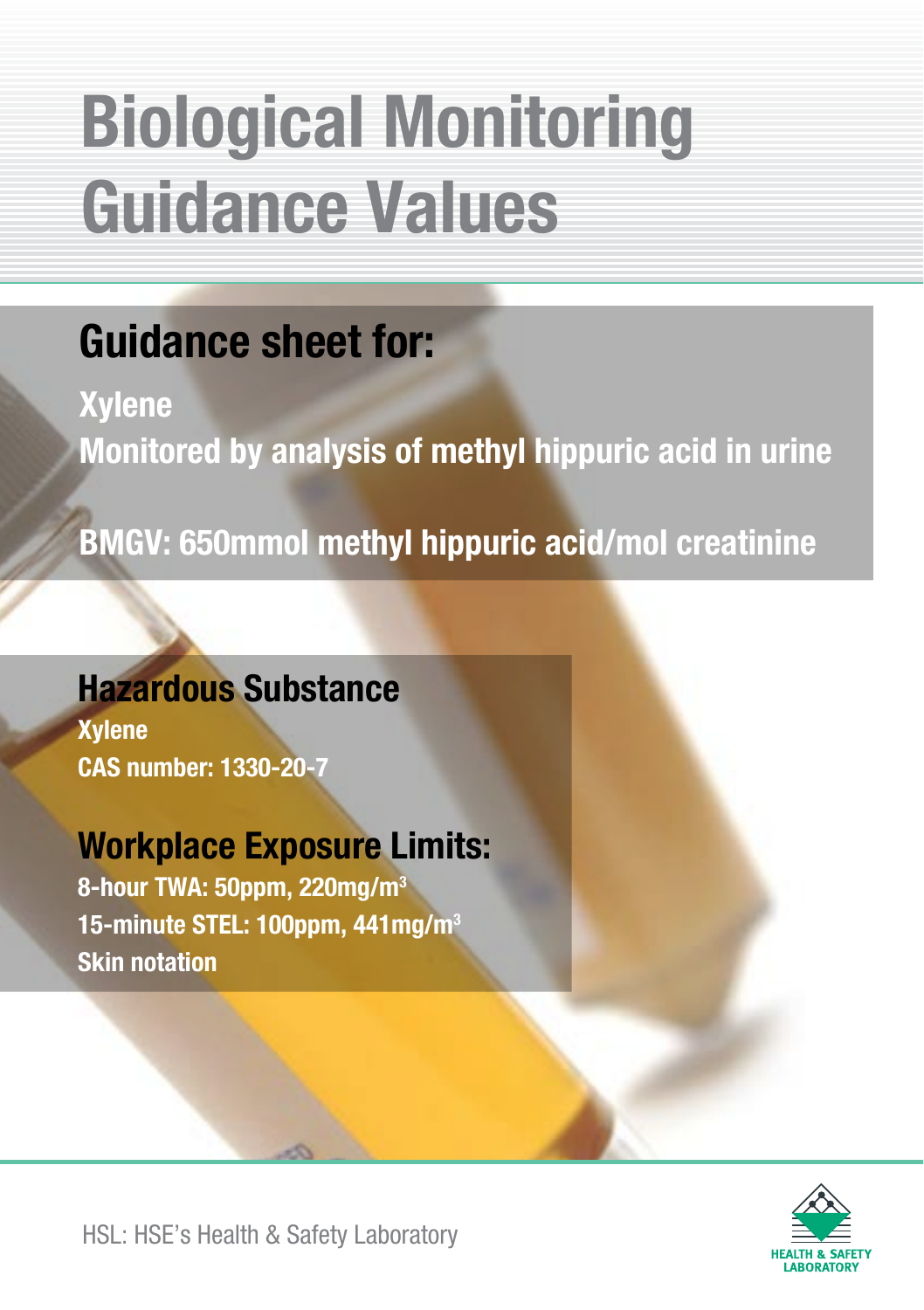## Guidance sheet for:

**Xylene** Monitored by analysis of methyl hippuric acid in urine

BMGV: 650mmol methyl hippuric acid/mol creatinine

## Hazardous Substance

Xylene CAS number: 1330-20-7

## Workplace Exposure Limits:

8-hour TWA: 50ppm, 220mg/m3 15-minute STEL: 100ppm, 441mg/m3 Skin notation



HSL: HSE's Health & Safety Laboratory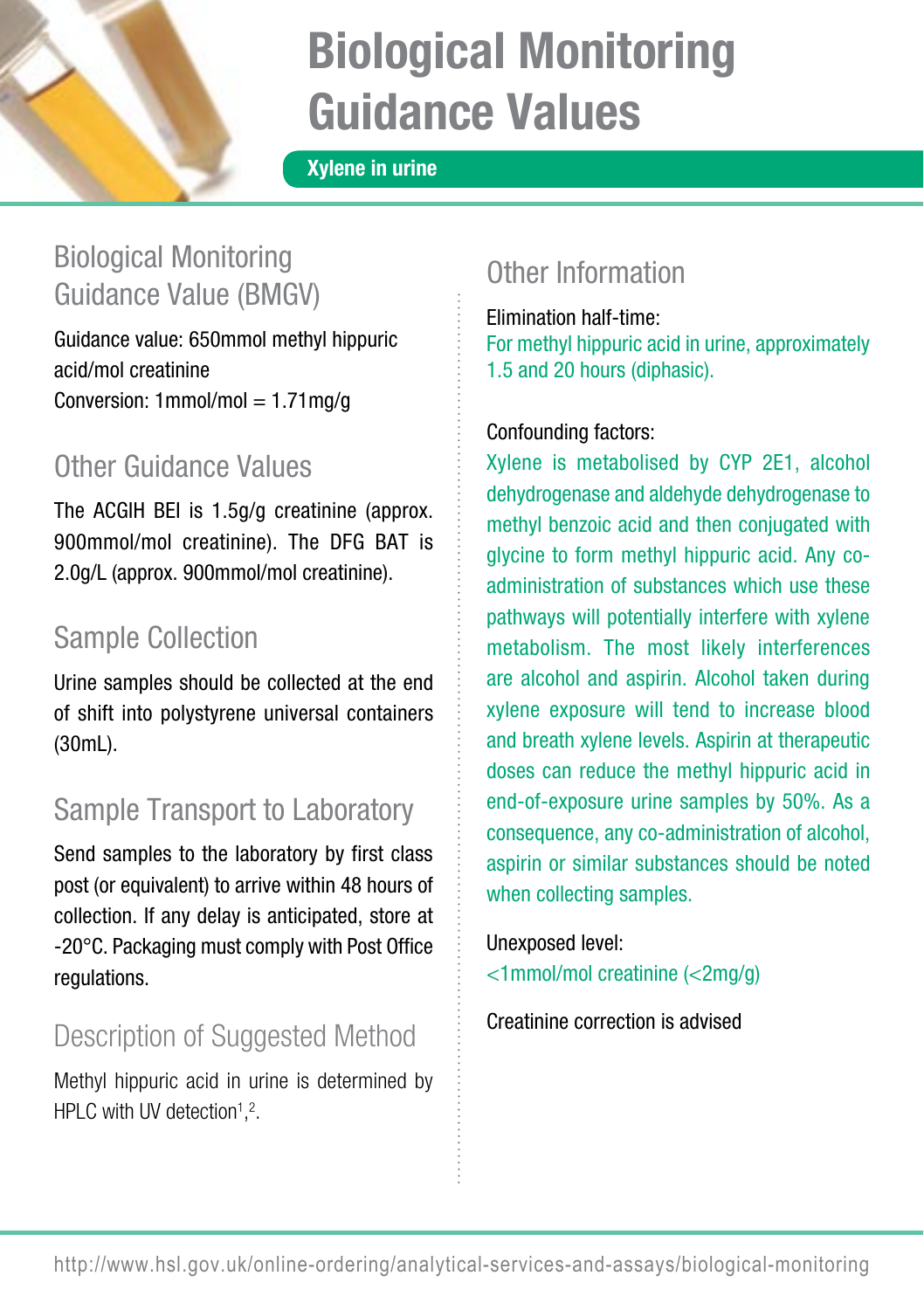

Xylene in urine

## Biological Monitoring Guidance Value (BMGV)

Guidance value: 650mmol methyl hippuric acid/mol creatinine Conversion:  $1$ mmol/mol =  $1.71$ mg/g

## Other Guidance Values

The ACGIH BEI is 1.5g/g creatinine (approx. 900mmol/mol creatinine). The DFG BAT is 2.0g/L (approx. 900mmol/mol creatinine).

## Sample Collection

Urine samples should be collected at the end of shift into polystyrene universal containers  $(30mL)$ .

## Sample Transport to Laboratory

Send samples to the laboratory by first class post (or equivalent) to arrive within 48 hours of collection. If any delay is anticipated, store at -20°C. Packaging must comply with Post Office regulations.

## Description of Suggested Method

Methyl hippuric acid in urine is determined by HPLC with UV detection $1,2$ .

## Other Information

Elimination half-time: For methyl hippuric acid in urine, approximately 1.5 and 20 hours (diphasic).

#### Confounding factors:

Xylene is metabolised by CYP 2E1, alcohol dehydrogenase and aldehyde dehydrogenase to methyl benzoic acid and then conjugated with glycine to form methyl hippuric acid. Any coadministration of substances which use these pathways will potentially interfere with xylene metabolism. The most likely interferences are alcohol and aspirin. Alcohol taken during xylene exposure will tend to increase blood and breath xylene levels. Aspirin at therapeutic doses can reduce the methyl hippuric acid in end-of-exposure urine samples by 50%. As a consequence, any co-administration of alcohol, aspirin or similar substances should be noted when collecting samples.

#### Unexposed level:

<1mmol/mol creatinine (<2mg/g)

Creatinine correction is advised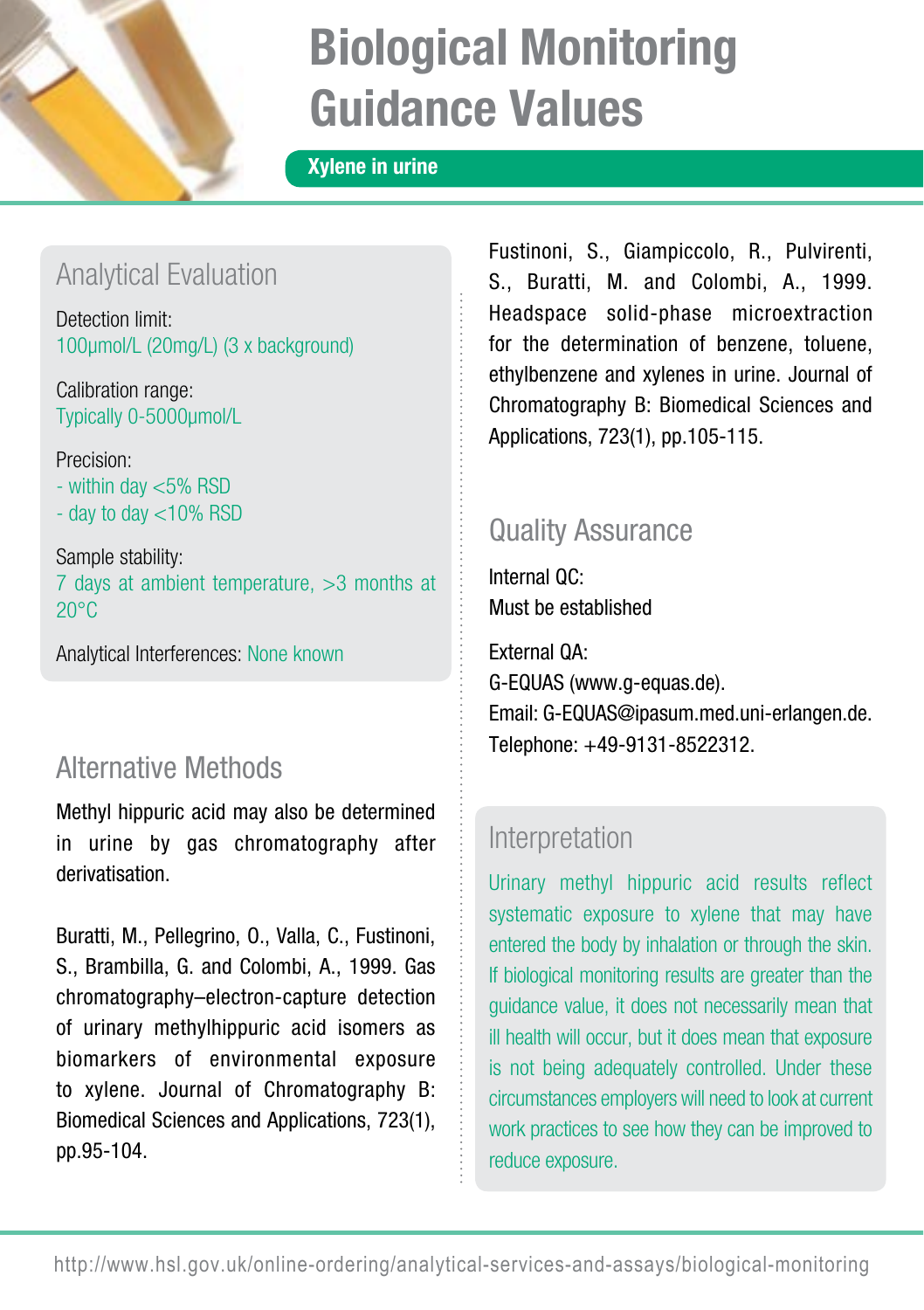

#### Xylene in urine

### Analytical Evaluation

Detection limit: 100µmol/L (20mg/L) (3 x background)

Calibration range: Typically 0-5000µmol/L

Precision:

- within day <5% RSD
- day to day <10% RSD

Sample stability: 7 days at ambient temperature, >3 months at  $20^{\circ}$ C

Analytical Interferences: None known

### Alternative Methods

Methyl hippuric acid may also be determined in urine by gas chromatography after derivatisation.

Buratti, M., Pellegrino, O., Valla, C., Fustinoni, S., Brambilla, G. and Colombi, A., 1999. Gas chromatography–electron-capture detection of urinary methylhippuric acid isomers as biomarkers of environmental exposure to xylene. Journal of Chromatography B: Biomedical Sciences and Applications, 723(1), pp.95-104.

Fustinoni, S., Giampiccolo, R., Pulvirenti, S., Buratti, M. and Colombi, A., 1999. Headspace solid-phase microextraction for the determination of benzene, toluene, ethylbenzene and xylenes in urine. Journal of Chromatography B: Biomedical Sciences and Applications, 723(1), pp.105-115.

### Quality Assurance

Internal QC: Must be established

External QA: G-EQUAS (www.g-equas.de). Email: G-EQUAS@ipasum.med.uni-erlangen.de. Telephone: +49-9131-8522312.

### Interpretation

Urinary methyl hippuric acid results reflect systematic exposure to xylene that may have entered the body by inhalation or through the skin. If biological monitoring results are greater than the guidance value, it does not necessarily mean that ill health will occur, but it does mean that exposure is not being adequately controlled. Under these circumstances employers will need to look at current work practices to see how they can be improved to reduce exposure.